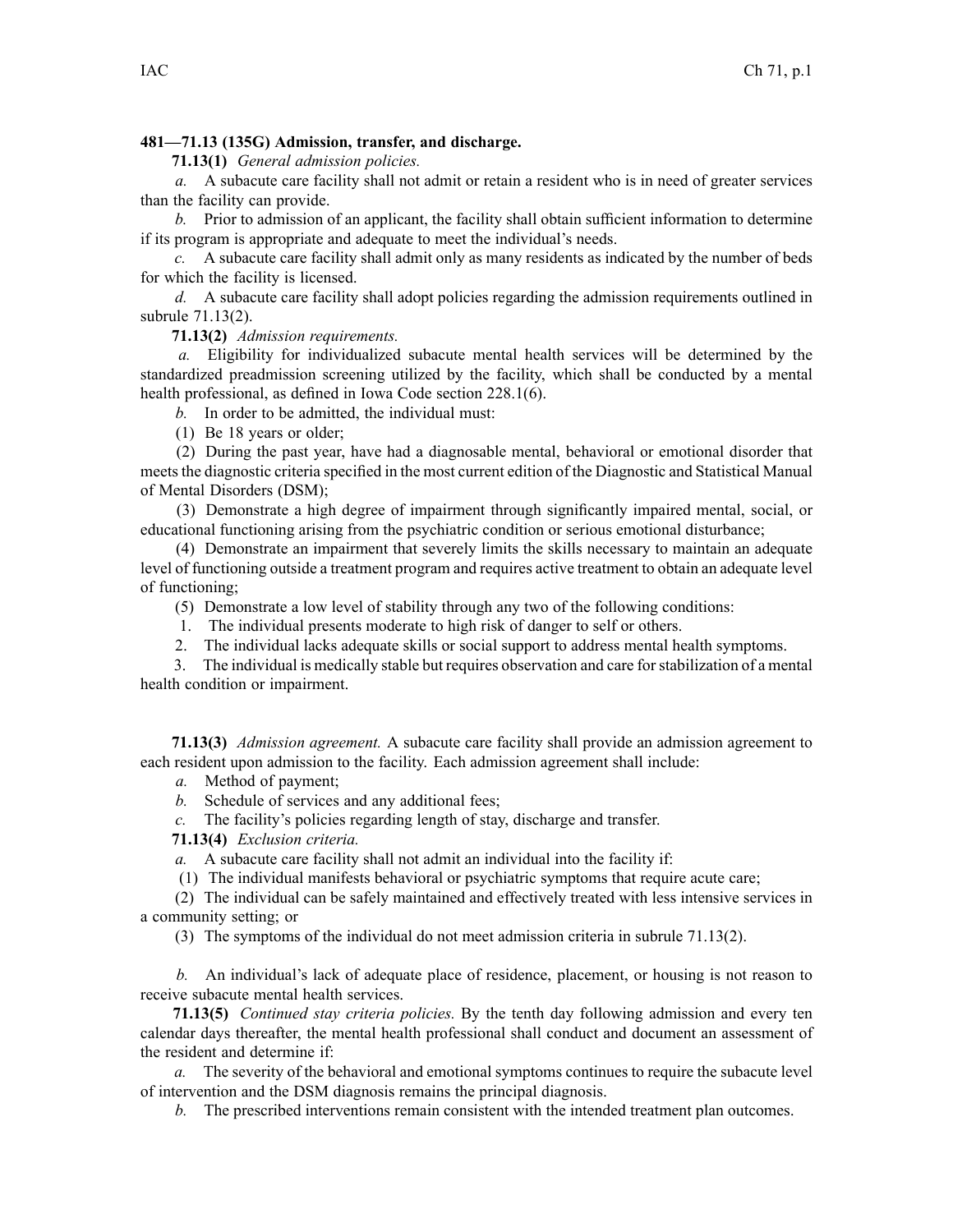## **481—71.13 (135G) Admission, transfer, and discharge.**

**71.13(1)** *General admission policies.*

*a.* A subacute care facility shall not admit or retain <sup>a</sup> resident who is in need of greater services than the facility can provide.

*b.* Prior to admission of an applicant, the facility shall obtain sufficient information to determine if its program is appropriate and adequate to meet the individual's needs.

*c.* A subacute care facility shall admit only as many residents as indicated by the number of beds for which the facility is licensed.

*d.* A subacute care facility shall adopt policies regarding the admission requirements outlined in subrule 71.13(2).

**71.13(2)** *Admission requirements.*

*a.* Eligibility for individualized subacute mental health services will be determined by the standardized preadmission screening utilized by the facility, which shall be conducted by <sup>a</sup> mental health professional, as defined in Iowa Code section [228.1\(6\)](https://www.legis.iowa.gov/docs/ico/section/228.1.pdf).

*b.* In order to be admitted, the individual must:

(1) Be 18 years or older;

(2) During the pas<sup>t</sup> year, have had <sup>a</sup> diagnosable mental, behavioral or emotional disorder that meets the diagnostic criteria specified in the most current edition of the Diagnostic and Statistical Manual of Mental Disorders (DSM);

(3) Demonstrate <sup>a</sup> high degree of impairment through significantly impaired mental, social, or educational functioning arising from the psychiatric condition or serious emotional disturbance;

(4) Demonstrate an impairment that severely limits the skills necessary to maintain an adequate level of functioning outside <sup>a</sup> treatment program and requires active treatment to obtain an adequate level of functioning;

(5) Demonstrate <sup>a</sup> low level of stability through any two of the following conditions:

1. The individual presents moderate to high risk of danger to self or others.

2. The individual lacks adequate skills or social suppor<sup>t</sup> to address mental health symptoms.

3. The individual is medically stable but requires observation and care forstabilization of <sup>a</sup> mental health condition or impairment.

**71.13(3)** *Admission agreement.* A subacute care facility shall provide an admission agreemen<sup>t</sup> to each resident upon admission to the facility. Each admission agreemen<sup>t</sup> shall include:

*a.* Method of payment;

*b.* Schedule of services and any additional fees;

*c.* The facility's policies regarding length of stay, discharge and transfer.

**71.13(4)** *Exclusion criteria.*

*a.* A subacute care facility shall not admit an individual into the facility if:

(1) The individual manifests behavioral or psychiatric symptoms that require acute care;

(2) The individual can be safely maintained and effectively treated with less intensive services in <sup>a</sup> community setting; or

(3) The symptoms of the individual do not meet admission criteria in subrule 71.13(2).

*b.* An individual's lack of adequate place of residence, placement, or housing is not reason to receive subacute mental health services.

**71.13(5)** *Continued stay criteria policies.* By the tenth day following admission and every ten calendar days thereafter, the mental health professional shall conduct and document an assessment of the resident and determine if:

*a.* The severity of the behavioral and emotional symptoms continues to require the subacute level of intervention and the DSM diagnosis remains the principal diagnosis.

*b.* The prescribed interventions remain consistent with the intended treatment plan outcomes.